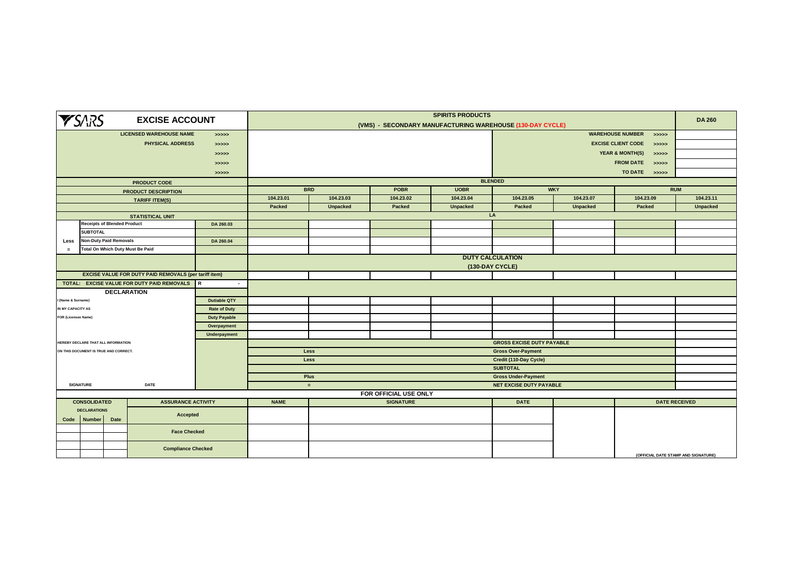| <b>YSARS</b><br><b>EXCISE ACCOUNT</b>                                       |                                                           |                                                                                                              |                           | <b>SPIRITS PRODUCTS</b><br>(VMS) - SECONDARY MANUFACTURING WAREHOUSE (130-DAY CYCLE) |                                     |                       |                 |                                  |                 |                                     |                      |  |
|-----------------------------------------------------------------------------|-----------------------------------------------------------|--------------------------------------------------------------------------------------------------------------|---------------------------|--------------------------------------------------------------------------------------|-------------------------------------|-----------------------|-----------------|----------------------------------|-----------------|-------------------------------------|----------------------|--|
| <b>LICENSED WAREHOUSE NAME</b><br>> >> > > >                                |                                                           |                                                                                                              |                           | <b>WAREHOUSE NUMBER</b><br>> >> > >                                                  |                                     |                       |                 |                                  |                 |                                     |                      |  |
| PHYSICAL ADDRESS<br>> >> > >                                                |                                                           |                                                                                                              |                           | <b>EXCISE CLIENT CODE</b><br>> >> > >                                                |                                     |                       |                 |                                  |                 |                                     |                      |  |
|                                                                             |                                                           |                                                                                                              | >>>>>                     |                                                                                      | <b>YEAR &amp; MONTH(S)</b><br>>>>>> |                       |                 |                                  |                 |                                     |                      |  |
|                                                                             |                                                           |                                                                                                              | >>>>>                     |                                                                                      | FROM DATE >>>>>                     |                       |                 |                                  |                 |                                     |                      |  |
|                                                                             |                                                           |                                                                                                              | >>>>>                     | TO DATE >>>>>                                                                        |                                     |                       |                 |                                  |                 |                                     |                      |  |
|                                                                             |                                                           | <b>PRODUCT CODE</b>                                                                                          |                           |                                                                                      | <b>BLENDED</b>                      |                       |                 |                                  |                 |                                     |                      |  |
|                                                                             |                                                           | <b>PRODUCT DESCRIPTION</b>                                                                                   |                           | <b>BRD</b><br>POBR<br><b>UOBR</b>                                                    |                                     |                       |                 | <b>WKY</b>                       | <b>RUM</b>      |                                     |                      |  |
|                                                                             |                                                           | <b>TARIFF ITEM(S)</b>                                                                                        |                           | 104.23.01                                                                            | 104.23.03                           | 104.23.02             | 104.23.04       | 104.23.05                        | 104.23.07       | 104.23.09                           | 104.23.11            |  |
|                                                                             |                                                           |                                                                                                              |                           | Packed                                                                               | <b>Unpacked</b>                     | Packed                | <b>Unpacked</b> | Packed                           | <b>Unpacked</b> | Packed                              | <b>Unpacked</b>      |  |
|                                                                             |                                                           | <b>STATISTICAL UNIT</b>                                                                                      |                           |                                                                                      |                                     |                       |                 | LA                               |                 |                                     |                      |  |
|                                                                             | <b>Receipts of Blended Product</b>                        |                                                                                                              | DA 260.03                 |                                                                                      |                                     |                       |                 |                                  |                 |                                     |                      |  |
|                                                                             | <b>SUBTOTAL</b>                                           |                                                                                                              |                           |                                                                                      |                                     |                       |                 |                                  |                 |                                     |                      |  |
| Less                                                                        | <b>Non-Duty Paid Removals</b>                             |                                                                                                              | DA 260.04                 |                                                                                      |                                     |                       |                 |                                  |                 |                                     |                      |  |
| $=$                                                                         | Total On Which Duty Must Be Paid                          |                                                                                                              |                           |                                                                                      |                                     |                       |                 |                                  |                 |                                     |                      |  |
|                                                                             |                                                           |                                                                                                              |                           | <b>DUTY CALCULATION</b>                                                              |                                     |                       |                 |                                  |                 |                                     |                      |  |
|                                                                             |                                                           |                                                                                                              |                           |                                                                                      | (130-DAY CYCLE)                     |                       |                 |                                  |                 |                                     |                      |  |
|                                                                             |                                                           | <b>EXCISE VALUE FOR DUTY PAID REMOVALS (per tariff item)</b><br>TOTAL: EXCISE VALUE FOR DUTY PAID REMOVALS R |                           |                                                                                      |                                     |                       |                 |                                  |                 |                                     |                      |  |
|                                                                             |                                                           | <b>DECLARATION</b>                                                                                           | $\sim$                    |                                                                                      |                                     |                       |                 |                                  |                 |                                     |                      |  |
| I (Name & Surname)                                                          |                                                           |                                                                                                              | <b>Dutiable QTY</b>       |                                                                                      |                                     |                       |                 |                                  |                 |                                     |                      |  |
| IN MY CAPACITY AS                                                           |                                                           |                                                                                                              | <b>Rate of Duty</b>       |                                                                                      |                                     |                       |                 |                                  |                 |                                     |                      |  |
|                                                                             |                                                           |                                                                                                              |                           |                                                                                      |                                     |                       |                 |                                  |                 |                                     |                      |  |
|                                                                             | FOR (Licensee Name)<br><b>Duty Payable</b><br>Overpayment |                                                                                                              |                           |                                                                                      |                                     |                       |                 |                                  |                 |                                     |                      |  |
|                                                                             |                                                           |                                                                                                              | Underpayment              |                                                                                      |                                     |                       |                 |                                  |                 |                                     |                      |  |
|                                                                             | HEREBY DECLARE THAT ALL INFORMATION                       |                                                                                                              |                           |                                                                                      |                                     |                       |                 | <b>GROSS EXCISE DUTY PAYABLE</b> |                 |                                     |                      |  |
|                                                                             | ON THIS DOCUMENT IS TRUE AND CORRECT.                     |                                                                                                              |                           | <b>Gross Over-Payment</b><br>Less                                                    |                                     |                       |                 |                                  |                 |                                     |                      |  |
|                                                                             |                                                           |                                                                                                              |                           | Less<br>Credit (110-Day Cycle)                                                       |                                     |                       |                 |                                  |                 |                                     |                      |  |
|                                                                             |                                                           |                                                                                                              |                           | <b>SUBTOTAL</b>                                                                      |                                     |                       |                 |                                  |                 |                                     |                      |  |
|                                                                             |                                                           |                                                                                                              |                           | Plus<br><b>Gross Under-Payment</b>                                                   |                                     |                       |                 |                                  |                 |                                     |                      |  |
|                                                                             | <b>SIGNATURE</b><br><b>DATE</b>                           |                                                                                                              |                           | <b>NET EXCISE DUTY PAYABLE</b><br>$=$                                                |                                     |                       |                 |                                  |                 |                                     |                      |  |
|                                                                             |                                                           |                                                                                                              |                           |                                                                                      |                                     | FOR OFFICIAL USE ONLY |                 |                                  |                 |                                     |                      |  |
| <b>CONSOLIDATED</b><br><b>DECLARATIONS</b><br><b>Number</b><br>Date<br>Code |                                                           | <b>ASSURANCE ACTIVITY</b>                                                                                    |                           | <b>NAME</b>                                                                          |                                     | <b>SIGNATURE</b>      |                 | <b>DATE</b>                      |                 |                                     | <b>DATE RECEIVED</b> |  |
|                                                                             |                                                           | Accepted                                                                                                     |                           |                                                                                      |                                     |                       |                 |                                  |                 |                                     |                      |  |
|                                                                             |                                                           |                                                                                                              |                           |                                                                                      |                                     |                       |                 |                                  |                 |                                     |                      |  |
|                                                                             |                                                           | <b>Face Checked</b>                                                                                          |                           |                                                                                      |                                     |                       |                 |                                  |                 |                                     |                      |  |
|                                                                             |                                                           |                                                                                                              |                           |                                                                                      |                                     |                       |                 |                                  |                 |                                     |                      |  |
|                                                                             |                                                           |                                                                                                              | <b>Compliance Checked</b> |                                                                                      |                                     |                       |                 |                                  |                 |                                     |                      |  |
|                                                                             |                                                           |                                                                                                              |                           |                                                                                      |                                     |                       |                 |                                  |                 | (OFFICIAL DATE STAMP AND SIGNATURE) |                      |  |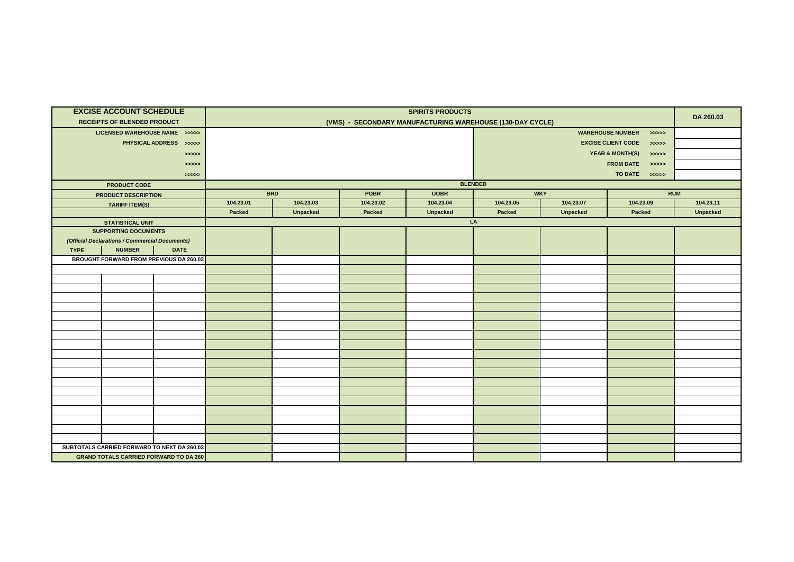|             | <b>EXCISE ACCOUNT SCHEDULE</b>                 |                                               | <b>SPIRITS PRODUCTS</b>                                                  |                 |           |                 |                           |                                     |           |                 |  |
|-------------|------------------------------------------------|-----------------------------------------------|--------------------------------------------------------------------------|-----------------|-----------|-----------------|---------------------------|-------------------------------------|-----------|-----------------|--|
|             | <b>RECEIPTS OF BLENDED PRODUCT</b>             |                                               | (VMS) - SECONDARY MANUFACTURING WAREHOUSE (130-DAY CYCLE)                |                 |           |                 |                           |                                     |           |                 |  |
|             | LICENSED WAREHOUSE NAME >>>>>                  |                                               | <b>WAREHOUSE NUMBER</b><br>>>>>>                                         |                 |           |                 |                           |                                     |           |                 |  |
|             |                                                | PHYSICAL ADDRESS >>>>>                        |                                                                          |                 |           |                 |                           | <b>EXCISE CLIENT CODE</b>           |           |                 |  |
|             |                                                |                                               |                                                                          |                 |           |                 |                           | >>>>><br><b>YEAR &amp; MONTH(S)</b> |           |                 |  |
|             |                                                | >>>>>                                         |                                                                          |                 |           |                 | >>>>><br><b>FROM DATE</b> |                                     |           |                 |  |
|             |                                                | > >> > > >                                    |                                                                          |                 |           |                 | >>>>>                     |                                     |           |                 |  |
|             |                                                | >>>>>                                         | TO DATE >>>>>                                                            |                 |           |                 |                           |                                     |           |                 |  |
|             | <b>PRODUCT CODE</b>                            |                                               | <b>BLENDED</b><br><b>BRD</b><br><b>WKY</b><br><b>POBR</b><br><b>UOBR</b> |                 |           |                 |                           |                                     |           | <b>RUM</b>      |  |
|             | <b>PRODUCT DESCRIPTION</b>                     |                                               | 104.23.01                                                                | 104.23.03       | 104.23.02 | 104.23.04       | 104.23.05<br>104.23.07    |                                     | 104.23.09 | 104.23.11       |  |
|             | <b>TARIFF ITEM(S)</b>                          |                                               | Packed                                                                   | <b>Unpacked</b> | Packed    | <b>Unpacked</b> | Packed                    | <b>Unpacked</b>                     | Packed    | <b>Unpacked</b> |  |
|             | <b>STATISTICAL UNIT</b>                        |                                               |                                                                          |                 |           |                 | LA                        |                                     |           |                 |  |
|             | <b>SUPPORTING DOCUMENTS</b>                    |                                               |                                                                          |                 |           |                 |                           |                                     |           |                 |  |
|             | (Official Declarations / Commercial Documents) |                                               |                                                                          |                 |           |                 |                           |                                     |           |                 |  |
| <b>TYPE</b> | <b>NUMBER</b>                                  | <b>DATE</b>                                   |                                                                          |                 |           |                 |                           |                                     |           |                 |  |
|             |                                                | BROUGHT FORWARD FROM PREVIOUS DA 260.03       |                                                                          |                 |           |                 |                           |                                     |           |                 |  |
|             |                                                |                                               |                                                                          |                 |           |                 |                           |                                     |           |                 |  |
|             |                                                |                                               |                                                                          |                 |           |                 |                           |                                     |           |                 |  |
|             |                                                |                                               |                                                                          |                 |           |                 |                           |                                     |           |                 |  |
|             |                                                |                                               |                                                                          |                 |           |                 |                           |                                     |           |                 |  |
|             |                                                |                                               |                                                                          |                 |           |                 |                           |                                     |           |                 |  |
|             |                                                |                                               |                                                                          |                 |           |                 |                           |                                     |           |                 |  |
|             |                                                |                                               |                                                                          |                 |           |                 |                           |                                     |           |                 |  |
|             |                                                |                                               |                                                                          |                 |           |                 |                           |                                     |           |                 |  |
|             |                                                |                                               |                                                                          |                 |           |                 |                           |                                     |           |                 |  |
|             |                                                |                                               |                                                                          |                 |           |                 |                           |                                     |           |                 |  |
|             |                                                |                                               |                                                                          |                 |           |                 |                           |                                     |           |                 |  |
|             |                                                |                                               |                                                                          |                 |           |                 |                           |                                     |           |                 |  |
|             |                                                |                                               |                                                                          |                 |           |                 |                           |                                     |           |                 |  |
|             |                                                |                                               |                                                                          |                 |           |                 |                           |                                     |           |                 |  |
|             |                                                |                                               |                                                                          |                 |           |                 |                           |                                     |           |                 |  |
|             |                                                |                                               |                                                                          |                 |           |                 |                           |                                     |           |                 |  |
|             |                                                |                                               |                                                                          |                 |           |                 |                           |                                     |           |                 |  |
|             |                                                |                                               |                                                                          |                 |           |                 |                           |                                     |           |                 |  |
|             |                                                | SUBTOTALS CARRIED FORWARD TO NEXT DA 260.03   |                                                                          |                 |           |                 |                           |                                     |           |                 |  |
|             |                                                | <b>GRAND TOTALS CARRIED FORWARD TO DA 260</b> |                                                                          |                 |           |                 |                           |                                     |           |                 |  |
|             |                                                |                                               |                                                                          |                 |           |                 |                           |                                     |           |                 |  |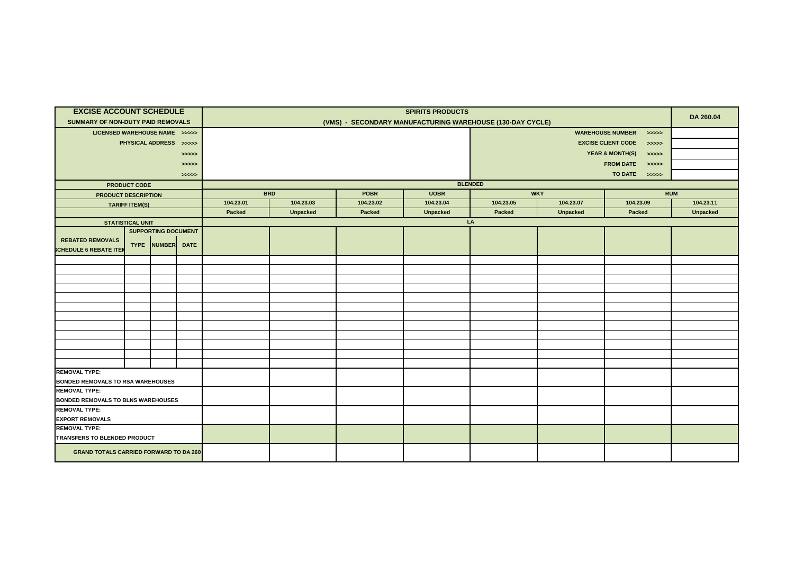| <b>EXCISE ACCOUNT SCHEDULE</b>                 |                                                |                        |          | <b>SPIRITS PRODUCTS</b>                                   |                 |                            |                 |            |                                     |            |                 |  |
|------------------------------------------------|------------------------------------------------|------------------------|----------|-----------------------------------------------------------|-----------------|----------------------------|-----------------|------------|-------------------------------------|------------|-----------------|--|
| SUMMARY OF NON-DUTY PAID REMOVALS              |                                                |                        |          | (VMS) - SECONDARY MANUFACTURING WAREHOUSE (130-DAY CYCLE) |                 |                            |                 |            |                                     |            |                 |  |
| LICENSED WAREHOUSE NAME >>>>>                  |                                                |                        |          | <b>WAREHOUSE NUMBER</b><br>> >> > > >                     |                 |                            |                 |            |                                     |            |                 |  |
|                                                |                                                | PHYSICAL ADDRESS >>>>> |          |                                                           |                 |                            |                 |            |                                     |            |                 |  |
|                                                |                                                |                        | >>>>>    |                                                           |                 |                            |                 |            | <b>YEAR &amp; MONTH(S)</b><br>>>>>> |            |                 |  |
|                                                |                                                |                        | >>>>>    |                                                           |                 |                            |                 |            |                                     |            |                 |  |
|                                                |                                                |                        | > >> > > |                                                           |                 |                            |                 |            |                                     |            |                 |  |
|                                                | <b>PRODUCT CODE</b>                            |                        |          | <b>BLENDED</b>                                            |                 |                            |                 |            |                                     |            |                 |  |
| PRODUCT DESCRIPTION                            |                                                |                        |          | <b>BRD</b>                                                |                 | <b>POBR</b><br><b>UOBR</b> |                 | <b>WKY</b> |                                     | <b>RUM</b> |                 |  |
|                                                | <b>TARIFF ITEM(S)</b>                          |                        |          | 104.23.01                                                 | 104.23.03       | 104.23.02                  | 104.23.04       | 104.23.05  | 104.23.07                           | 104.23.09  | 104.23.11       |  |
|                                                |                                                |                        |          | Packed                                                    | <b>Unpacked</b> | Packed                     | <b>Unpacked</b> | Packed     | <b>Unpacked</b>                     | Packed     | <b>Unpacked</b> |  |
|                                                | <b>STATISTICAL UNIT</b>                        |                        |          |                                                           |                 |                            |                 | LA         |                                     |            |                 |  |
| <b>REBATED REMOVALS</b>                        | <b>SUPPORTING DOCUMENT</b><br>TYPE NUMBER DATE |                        |          |                                                           |                 |                            |                 |            |                                     |            |                 |  |
| <b>SCHEDULE 6 REBATE ITE</b>                   |                                                |                        |          |                                                           |                 |                            |                 |            |                                     |            |                 |  |
|                                                |                                                |                        |          |                                                           |                 |                            |                 |            |                                     |            |                 |  |
|                                                |                                                |                        |          |                                                           |                 |                            |                 |            |                                     |            |                 |  |
|                                                |                                                |                        |          |                                                           |                 |                            |                 |            |                                     |            |                 |  |
|                                                |                                                |                        |          |                                                           |                 |                            |                 |            |                                     |            |                 |  |
|                                                |                                                |                        |          |                                                           |                 |                            |                 |            |                                     |            |                 |  |
|                                                |                                                |                        |          |                                                           |                 |                            |                 |            |                                     |            |                 |  |
|                                                |                                                |                        |          |                                                           |                 |                            |                 |            |                                     |            |                 |  |
|                                                |                                                |                        |          |                                                           |                 |                            |                 |            |                                     |            |                 |  |
|                                                |                                                |                        |          |                                                           |                 |                            |                 |            |                                     |            |                 |  |
|                                                |                                                |                        |          |                                                           |                 |                            |                 |            |                                     |            |                 |  |
|                                                |                                                |                        |          |                                                           |                 |                            |                 |            |                                     |            |                 |  |
| <b>REMOVAL TYPE:</b>                           |                                                |                        |          |                                                           |                 |                            |                 |            |                                     |            |                 |  |
| <b>BONDED REMOVALS TO RSA WAREHOUSES</b>       |                                                |                        |          |                                                           |                 |                            |                 |            |                                     |            |                 |  |
| <b>REMOVAL TYPE:</b>                           |                                                |                        |          |                                                           |                 |                            |                 |            |                                     |            |                 |  |
| <b>BONDED REMOVALS TO BLNS WAREHOUSES</b>      |                                                |                        |          |                                                           |                 |                            |                 |            |                                     |            |                 |  |
| <b>REMOVAL TYPE:</b><br><b>EXPORT REMOVALS</b> |                                                |                        |          |                                                           |                 |                            |                 |            |                                     |            |                 |  |
| <b>REMOVAL TYPE:</b>                           |                                                |                        |          |                                                           |                 |                            |                 |            |                                     |            |                 |  |
| TRANSFERS TO BLENDED PRODUCT                   |                                                |                        |          |                                                           |                 |                            |                 |            |                                     |            |                 |  |
| <b>GRAND TOTALS CARRIED FORWARD TO DA 260</b>  |                                                |                        |          |                                                           |                 |                            |                 |            |                                     |            |                 |  |